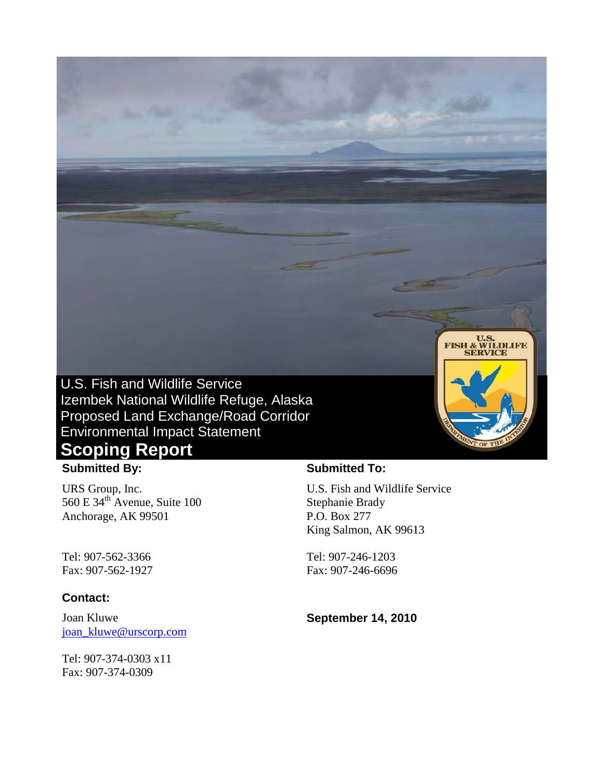

# **Scoping Report**

## **Submitted By: Submitted To:**

URS Group, Inc. 560 E 34th Avenue, Suite 100 Anchorage, AK 99501

Tel: 907-562-3366 Fax: 907-562-1927

#### **Contact:**

Joan Kluwe [joan\\_kluwe@urscorp.com](mailto:joan_kluwe@urscorp.com)

Tel: 907-374-0303 x11 Fax: 907-374-0309

U.S. Fish and Wildlife Service Stephanie Brady P.O. Box 277 King Salmon, AK 99613

U.S.<br>FISH & WILDLIFE<br>SERVICE

Tel: 907-246-1203 Fax: 907-246-6696

**September 14, 2010**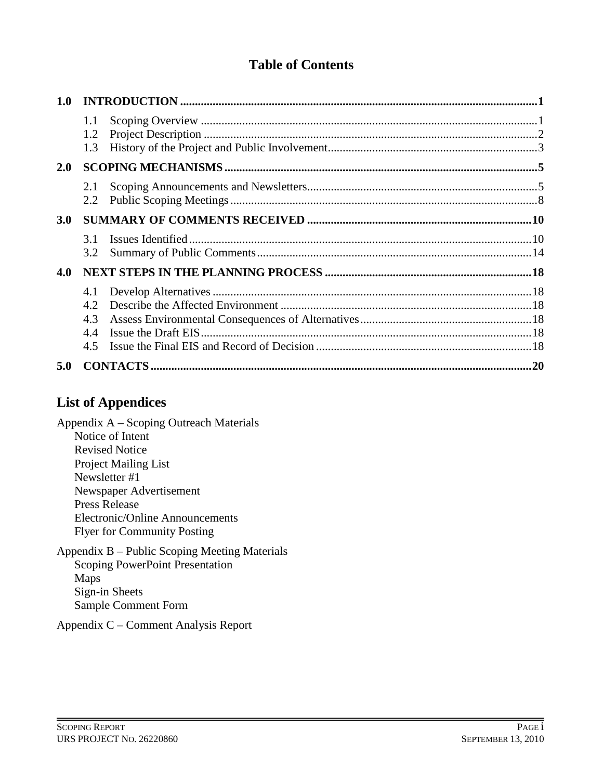## **Table of Contents**

| 1.0 |                                 |  |  |
|-----|---------------------------------|--|--|
|     | 1.1<br>1.2<br>1.3               |  |  |
| 2.0 |                                 |  |  |
|     | 2.1<br>2.2                      |  |  |
| 3.0 |                                 |  |  |
|     | 31<br>3.2                       |  |  |
| 4.0 |                                 |  |  |
|     | 4.1<br>4.2<br>4.3<br>4.4<br>4.5 |  |  |
| 5.0 |                                 |  |  |

## **List of Appendices**

Appendix A – Scoping Outreach Materials Notice of Intent Revised Notice Project Mailing List Newsletter #1 Newspaper Advertisement Press Release Electronic/Online Announcements Flyer for Community Posting

### Appendix B – Public Scoping Meeting Materials Scoping PowerPoint Presentation Maps

Sign-in Sheets Sample Comment Form

Appendix C – Comment Analysis Report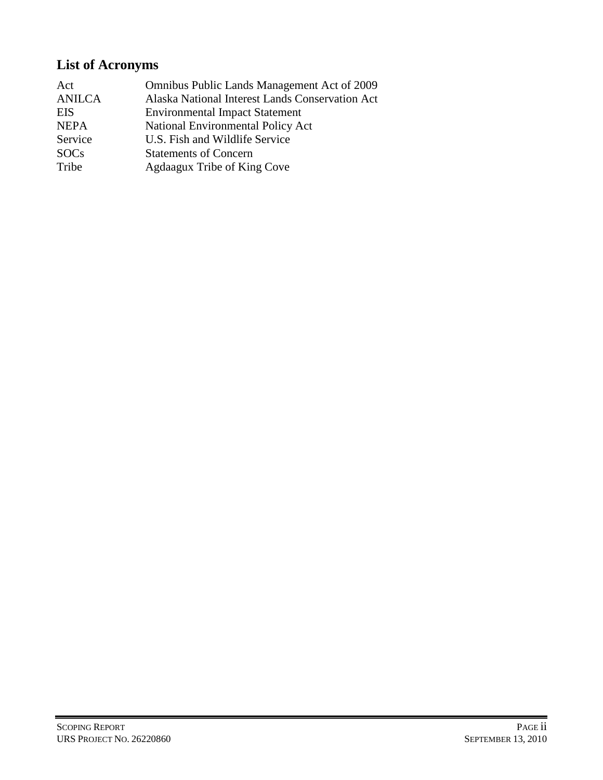## **List of Acronyms**

| Act           | Omnibus Public Lands Management Act of 2009     |
|---------------|-------------------------------------------------|
| <b>ANILCA</b> | Alaska National Interest Lands Conservation Act |
| <b>EIS</b>    | <b>Environmental Impact Statement</b>           |
| <b>NEPA</b>   | National Environmental Policy Act               |
| Service       | U.S. Fish and Wildlife Service                  |
| <b>SOCs</b>   | <b>Statements of Concern</b>                    |
| Tribe         | Agdaagux Tribe of King Cove                     |
|               |                                                 |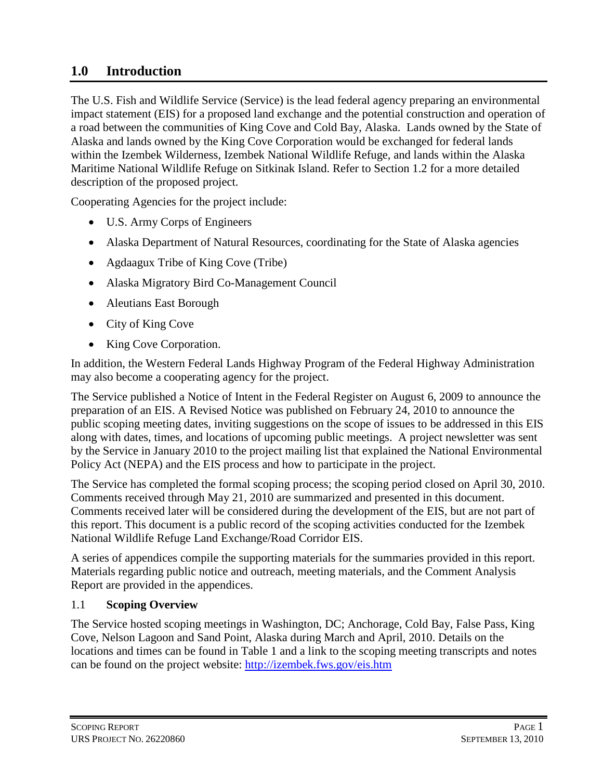## <span id="page-4-0"></span>**1.0 Introduction**

The U.S. Fish and Wildlife Service (Service) is the lead federal agency preparing an environmental impact statement (EIS) for a proposed land exchange and the potential construction and operation of a road between the communities of King Cove and Cold Bay, Alaska. Lands owned by the State of Alaska and lands owned by the King Cove Corporation would be exchanged for federal lands within the Izembek Wilderness, Izembek National Wildlife Refuge, and lands within the Alaska Maritime National Wildlife Refuge on Sitkinak Island. Refer to Section 1.2 for a more detailed description of the proposed project.

Cooperating Agencies for the project include:

- U.S. Army Corps of Engineers
- Alaska Department of Natural Resources, coordinating for the State of Alaska agencies
- Agdaagux Tribe of King Cove (Tribe)
- Alaska Migratory Bird Co-Management Council
- Aleutians East Borough
- City of King Cove
- King Cove Corporation.

In addition, the Western Federal Lands Highway Program of the Federal Highway Administration may also become a cooperating agency for the project.

The Service published a Notice of Intent in the Federal Register on August 6, 2009 to announce the preparation of an EIS. A Revised Notice was published on February 24, 2010 to announce the public scoping meeting dates, inviting suggestions on the scope of issues to be addressed in this EIS along with dates, times, and locations of upcoming public meetings. A project newsletter was sent by the Service in January 2010 to the project mailing list that explained the National Environmental Policy Act (NEPA) and the EIS process and how to participate in the project.

The Service has completed the formal scoping process; the scoping period closed on April 30, 2010. Comments received through May 21, 2010 are summarized and presented in this document. Comments received later will be considered during the development of the EIS, but are not part of this report. This document is a public record of the scoping activities conducted for the Izembek National Wildlife Refuge Land Exchange/Road Corridor EIS.

A series of appendices compile the supporting materials for the summaries provided in this report. Materials regarding public notice and outreach, meeting materials, and the Comment Analysis Report are provided in the appendices.

#### <span id="page-4-1"></span>1.1 **Scoping Overview**

The Service hosted scoping meetings in Washington, DC; Anchorage, Cold Bay, False Pass, King Cove, Nelson Lagoon and Sand Point, Alaska during March and April, 2010. Details on the locations and times can be found in Table 1 and a link to the scoping meeting transcripts and notes can be found on the project website:<http://izembek.fws.gov/eis.htm>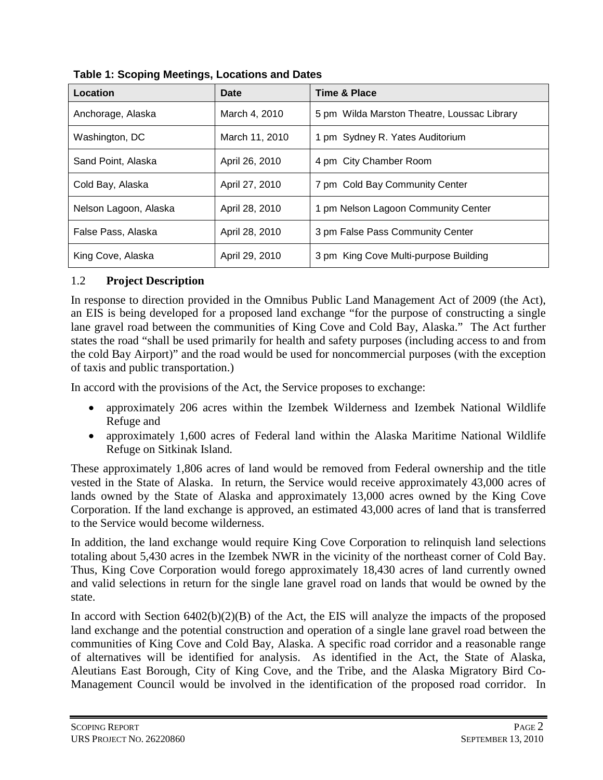| Location              | Date           | Time & Place                                |
|-----------------------|----------------|---------------------------------------------|
| Anchorage, Alaska     | March 4, 2010  | 5 pm Wilda Marston Theatre, Loussac Library |
| Washington, DC        | March 11, 2010 | 1 pm Sydney R. Yates Auditorium             |
| Sand Point, Alaska    | April 26, 2010 | 4 pm City Chamber Room                      |
| Cold Bay, Alaska      | April 27, 2010 | 7 pm Cold Bay Community Center              |
| Nelson Lagoon, Alaska | April 28, 2010 | 1 pm Nelson Lagoon Community Center         |
| False Pass, Alaska    | April 28, 2010 | 3 pm False Pass Community Center            |
| King Cove, Alaska     | April 29, 2010 | 3 pm King Cove Multi-purpose Building       |

#### <span id="page-5-0"></span>1.2 **Project Description**

In response to direction provided in the Omnibus Public Land Management Act of 2009 (the Act), an EIS is being developed for a proposed land exchange "for the purpose of constructing a single lane gravel road between the communities of King Cove and Cold Bay, Alaska." The Act further states the road "shall be used primarily for health and safety purposes (including access to and from the cold Bay Airport)" and the road would be used for noncommercial purposes (with the exception of taxis and public transportation.)

In accord with the provisions of the Act, the Service proposes to exchange:

- approximately 206 acres within the Izembek Wilderness and Izembek National Wildlife Refuge and
- approximately 1,600 acres of Federal land within the Alaska Maritime National Wildlife Refuge on Sitkinak Island.

These approximately 1,806 acres of land would be removed from Federal ownership and the title vested in the State of Alaska. In return, the Service would receive approximately 43,000 acres of lands owned by the State of Alaska and approximately 13,000 acres owned by the King Cove Corporation. If the land exchange is approved, an estimated 43,000 acres of land that is transferred to the Service would become wilderness.

In addition, the land exchange would require King Cove Corporation to relinquish land selections totaling about 5,430 acres in the Izembek NWR in the vicinity of the northeast corner of Cold Bay. Thus, King Cove Corporation would forego approximately 18,430 acres of land currently owned and valid selections in return for the single lane gravel road on lands that would be owned by the state.

In accord with Section 6402(b)(2)(B) of the Act, the EIS will analyze the impacts of the proposed land exchange and the potential construction and operation of a single lane gravel road between the communities of King Cove and Cold Bay, Alaska. A specific road corridor and a reasonable range of alternatives will be identified for analysis. As identified in the Act, the State of Alaska, Aleutians East Borough, City of King Cove, and the Tribe, and the Alaska Migratory Bird Co-Management Council would be involved in the identification of the proposed road corridor. In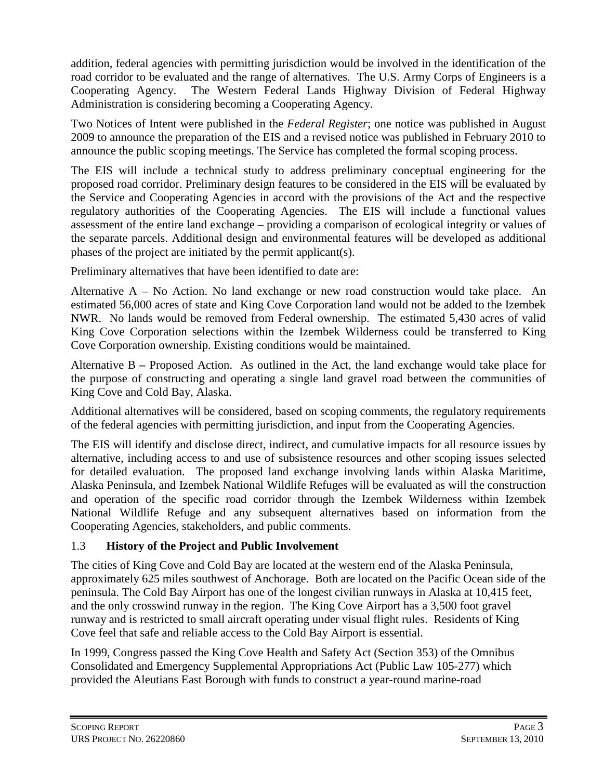addition, federal agencies with permitting jurisdiction would be involved in the identification of the road corridor to be evaluated and the range of alternatives. The U.S. Army Corps of Engineers is a Cooperating Agency. The Western Federal Lands Highway Division of Federal Highway Administration is considering becoming a Cooperating Agency.

Two Notices of Intent were published in the *Federal Register*; one notice was published in August 2009 to announce the preparation of the EIS and a revised notice was published in February 2010 to announce the public scoping meetings. The Service has completed the formal scoping process.

The EIS will include a technical study to address preliminary conceptual engineering for the proposed road corridor. Preliminary design features to be considered in the EIS will be evaluated by the Service and Cooperating Agencies in accord with the provisions of the Act and the respective regulatory authorities of the Cooperating Agencies. The EIS will include a functional values assessment of the entire land exchange – providing a comparison of ecological integrity or values of the separate parcels. Additional design and environmental features will be developed as additional phases of the project are initiated by the permit applicant(s).

Preliminary alternatives that have been identified to date are:

Alternative  $A - No$  Action. No land exchange or new road construction would take place. An estimated 56,000 acres of state and King Cove Corporation land would not be added to the Izembek NWR. No lands would be removed from Federal ownership. The estimated 5,430 acres of valid King Cove Corporation selections within the Izembek Wilderness could be transferred to King Cove Corporation ownership. Existing conditions would be maintained.

Alternative B **–** Proposed Action. As outlined in the Act, the land exchange would take place for the purpose of constructing and operating a single land gravel road between the communities of King Cove and Cold Bay, Alaska.

Additional alternatives will be considered, based on scoping comments, the regulatory requirements of the federal agencies with permitting jurisdiction, and input from the Cooperating Agencies.

The EIS will identify and disclose direct, indirect, and cumulative impacts for all resource issues by alternative, including access to and use of subsistence resources and other scoping issues selected for detailed evaluation. The proposed land exchange involving lands within Alaska Maritime, Alaska Peninsula, and Izembek National Wildlife Refuges will be evaluated as will the construction and operation of the specific road corridor through the Izembek Wilderness within Izembek National Wildlife Refuge and any subsequent alternatives based on information from the Cooperating Agencies, stakeholders, and public comments.

#### <span id="page-6-0"></span>1.3 **History of the Project and Public Involvement**

The cities of King Cove and Cold Bay are located at the western end of the Alaska Peninsula, approximately 625 miles southwest of Anchorage. Both are located on the Pacific Ocean side of the peninsula. The Cold Bay Airport has one of the longest civilian runways in Alaska at 10,415 feet, and the only crosswind runway in the region. The King Cove Airport has a 3,500 foot gravel runway and is restricted to small aircraft operating under visual flight rules. Residents of King Cove feel that safe and reliable access to the Cold Bay Airport is essential.

In 1999, Congress passed the King Cove Health and Safety Act (Section 353) of the Omnibus Consolidated and Emergency Supplemental Appropriations Act (Public Law 105-277) which provided the Aleutians East Borough with funds to construct a year-round marine-road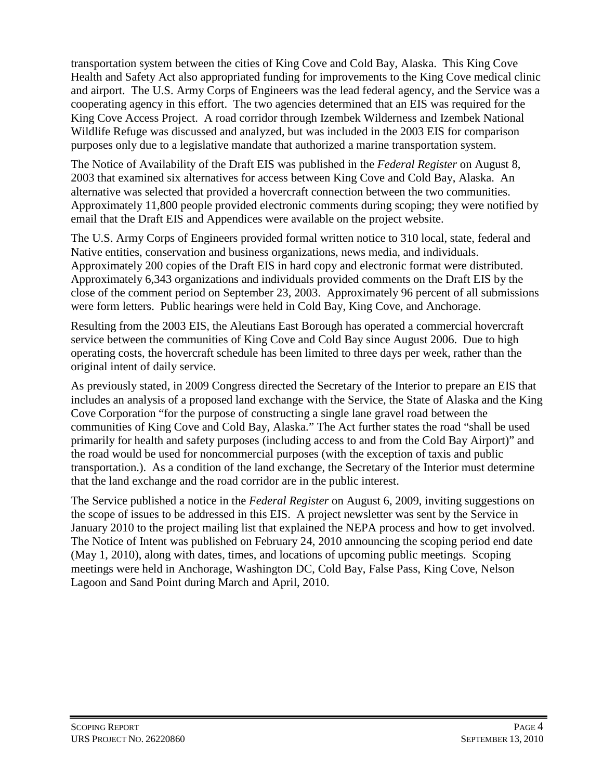transportation system between the cities of King Cove and Cold Bay, Alaska. This King Cove Health and Safety Act also appropriated funding for improvements to the King Cove medical clinic and airport. The U.S. Army Corps of Engineers was the lead federal agency, and the Service was a cooperating agency in this effort. The two agencies determined that an EIS was required for the King Cove Access Project. A road corridor through Izembek Wilderness and Izembek National Wildlife Refuge was discussed and analyzed, but was included in the 2003 EIS for comparison purposes only due to a legislative mandate that authorized a marine transportation system.

The Notice of Availability of the Draft EIS was published in the *Federal Register* on August 8, 2003 that examined six alternatives for access between King Cove and Cold Bay, Alaska. An alternative was selected that provided a hovercraft connection between the two communities. Approximately 11,800 people provided electronic comments during scoping; they were notified by email that the Draft EIS and Appendices were available on the project website.

The U.S. Army Corps of Engineers provided formal written notice to 310 local, state, federal and Native entities, conservation and business organizations, news media, and individuals. Approximately 200 copies of the Draft EIS in hard copy and electronic format were distributed. Approximately 6,343 organizations and individuals provided comments on the Draft EIS by the close of the comment period on September 23, 2003. Approximately 96 percent of all submissions were form letters. Public hearings were held in Cold Bay, King Cove, and Anchorage.

Resulting from the 2003 EIS, the Aleutians East Borough has operated a commercial hovercraft service between the communities of King Cove and Cold Bay since August 2006. Due to high operating costs, the hovercraft schedule has been limited to three days per week, rather than the original intent of daily service.

As previously stated, in 2009 Congress directed the Secretary of the Interior to prepare an EIS that includes an analysis of a proposed land exchange with the Service, the State of Alaska and the King Cove Corporation "for the purpose of constructing a single lane gravel road between the communities of King Cove and Cold Bay, Alaska." The Act further states the road "shall be used primarily for health and safety purposes (including access to and from the Cold Bay Airport)" and the road would be used for noncommercial purposes (with the exception of taxis and public transportation.). As a condition of the land exchange, the Secretary of the Interior must determine that the land exchange and the road corridor are in the public interest.

The Service published a notice in the *Federal Register* on August 6, 2009, inviting suggestions on the scope of issues to be addressed in this EIS. A project newsletter was sent by the Service in January 2010 to the project mailing list that explained the NEPA process and how to get involved. The Notice of Intent was published on February 24, 2010 announcing the scoping period end date (May 1, 2010), along with dates, times, and locations of upcoming public meetings. Scoping meetings were held in Anchorage, Washington DC, Cold Bay, False Pass, King Cove, Nelson Lagoon and Sand Point during March and April, 2010.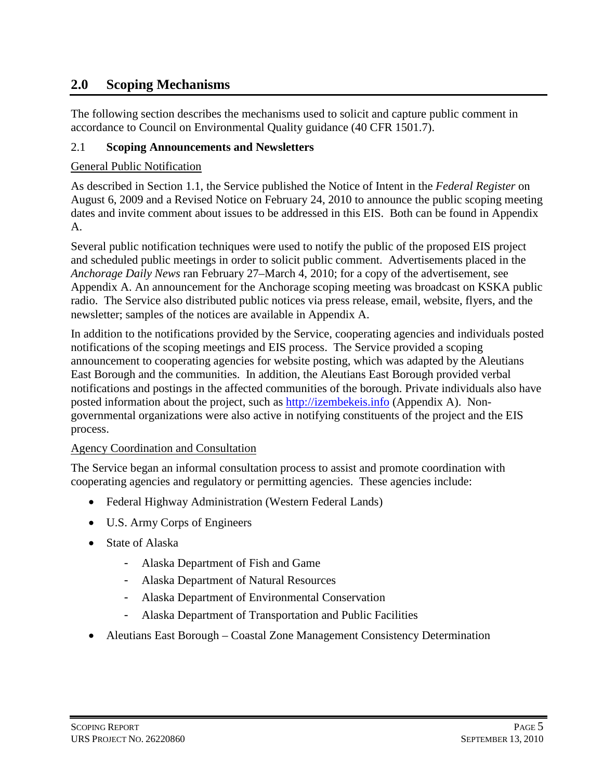## <span id="page-8-0"></span>**2.0 Scoping Mechanisms**

The following section describes the mechanisms used to solicit and capture public comment in accordance to Council on Environmental Quality guidance (40 CFR 1501.7).

#### <span id="page-8-1"></span>2.1 **Scoping Announcements and Newsletters**

#### General Public Notification

As described in Section 1.1, the Service published the Notice of Intent in the *Federal Register* on August 6, 2009 and a Revised Notice on February 24, 2010 to announce the public scoping meeting dates and invite comment about issues to be addressed in this EIS. Both can be found in Appendix A.

Several public notification techniques were used to notify the public of the proposed EIS project and scheduled public meetings in order to solicit public comment. Advertisements placed in the *Anchorage Daily News* ran February 27–March 4, 2010; for a copy of the advertisement, see Appendix A. An announcement for the Anchorage scoping meeting was broadcast on KSKA public radio. The Service also distributed public notices via press release, email, website, flyers, and the newsletter; samples of the notices are available in Appendix A.

In addition to the notifications provided by the Service, cooperating agencies and individuals posted notifications of the scoping meetings and EIS process. The Service provided a scoping announcement to cooperating agencies for website posting, which was adapted by the Aleutians East Borough and the communities. In addition, the Aleutians East Borough provided verbal notifications and postings in the affected communities of the borough. Private individuals also have posted information about the project, such as [http://izembekeis.info](http://izembekeis.info/) (Appendix A). Nongovernmental organizations were also active in notifying constituents of the project and the EIS process.

#### Agency Coordination and Consultation

The Service began an informal consultation process to assist and promote coordination with cooperating agencies and regulatory or permitting agencies. These agencies include:

- Federal Highway Administration (Western Federal Lands)
- U.S. Army Corps of Engineers
- State of Alaska
	- Alaska Department of Fish and Game
	- Alaska Department of Natural Resources
	- Alaska Department of Environmental Conservation
	- Alaska Department of Transportation and Public Facilities
- Aleutians East Borough Coastal Zone Management Consistency Determination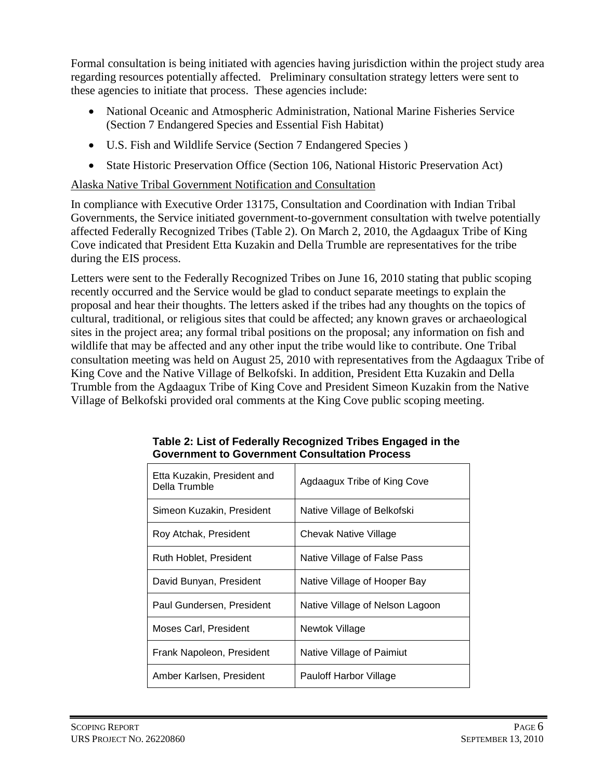Formal consultation is being initiated with agencies having jurisdiction within the project study area regarding resources potentially affected. Preliminary consultation strategy letters were sent to these agencies to initiate that process. These agencies include:

- National Oceanic and Atmospheric Administration, National Marine Fisheries Service (Section 7 Endangered Species and Essential Fish Habitat)
- U.S. Fish and Wildlife Service (Section 7 Endangered Species )
- State Historic Preservation Office (Section 106, National Historic Preservation Act)

#### Alaska Native Tribal Government Notification and Consultation

In compliance with Executive Order 13175, Consultation and Coordination with Indian Tribal Governments, the Service initiated government-to-government consultation with twelve potentially affected Federally Recognized Tribes (Table 2). On March 2, 2010, the Agdaagux Tribe of King Cove indicated that President Etta Kuzakin and Della Trumble are representatives for the tribe during the EIS process.

Letters were sent to the Federally Recognized Tribes on June 16, 2010 stating that public scoping recently occurred and the Service would be glad to conduct separate meetings to explain the proposal and hear their thoughts. The letters asked if the tribes had any thoughts on the topics of cultural, traditional, or religious sites that could be affected; any known graves or archaeological sites in the project area; any formal tribal positions on the proposal; any information on fish and wildlife that may be affected and any other input the tribe would like to contribute. One Tribal consultation meeting was held on August 25, 2010 with representatives from the Agdaagux Tribe of King Cove and the Native Village of Belkofski. In addition, President Etta Kuzakin and Della Trumble from the Agdaagux Tribe of King Cove and President Simeon Kuzakin from the Native Village of Belkofski provided oral comments at the King Cove public scoping meeting.

| Etta Kuzakin, President and<br>Della Trumble | Agdaagux Tribe of King Cove     |
|----------------------------------------------|---------------------------------|
| Simeon Kuzakin, President                    | Native Village of Belkofski     |
| Roy Atchak, President                        | Chevak Native Village           |
| Ruth Hoblet, President                       | Native Village of False Pass    |
| David Bunyan, President                      | Native Village of Hooper Bay    |
| Paul Gundersen, President                    | Native Village of Nelson Lagoon |
| Moses Carl, President                        | Newtok Village                  |
| Frank Napoleon, President                    | Native Village of Paimiut       |
| Amber Karlsen, President                     | Pauloff Harbor Village          |
|                                              |                                 |

| Table 2: List of Federally Recognized Tribes Engaged in the |
|-------------------------------------------------------------|
| <b>Government to Government Consultation Process</b>        |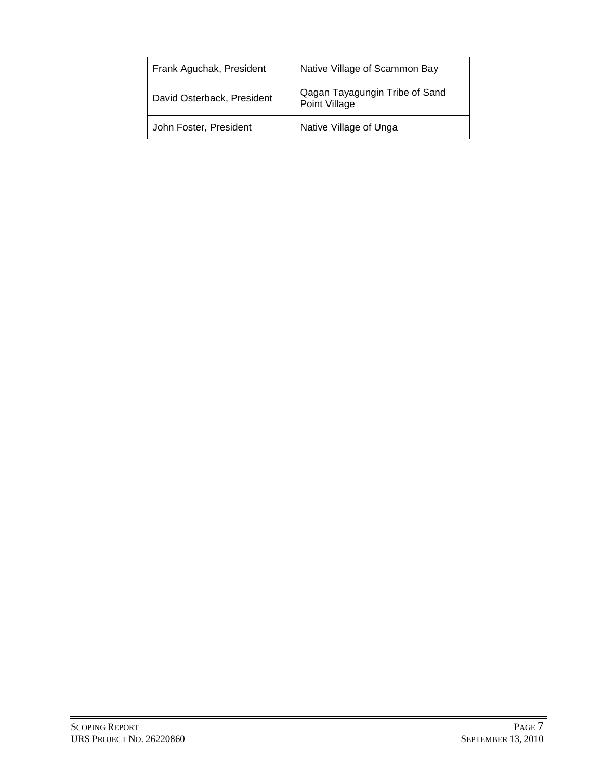| Frank Aguchak, President   | Native Village of Scammon Bay                   |
|----------------------------|-------------------------------------------------|
| David Osterback, President | Qagan Tayagungin Tribe of Sand<br>Point Village |
| John Foster, President     | Native Village of Unga                          |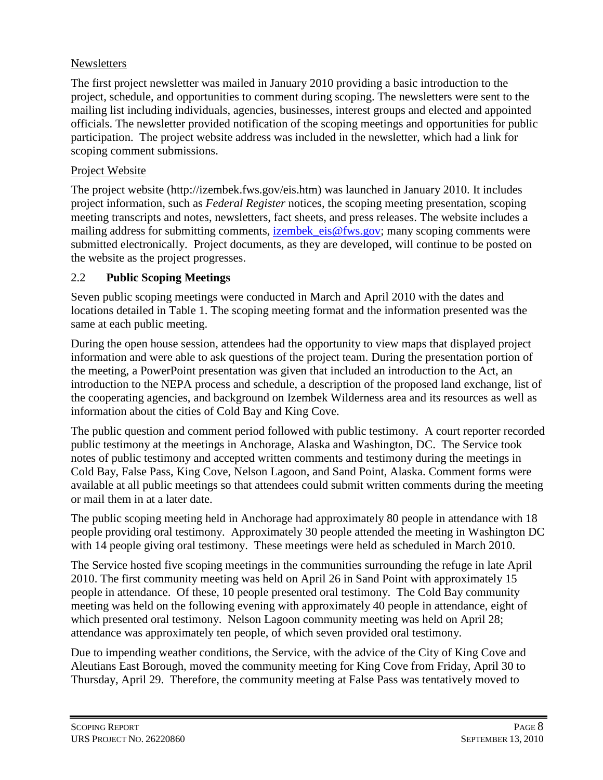#### Newsletters

The first project newsletter was mailed in January 2010 providing a basic introduction to the project, schedule, and opportunities to comment during scoping. The newsletters were sent to the mailing list including individuals, agencies, businesses, interest groups and elected and appointed officials. The newsletter provided notification of the scoping meetings and opportunities for public participation. The project website address was included in the newsletter, which had a link for scoping comment submissions.

#### Project Website

The project website ( [http://izembek.fws.gov/eis.htm\)](http://izembek.fws.gov/eis.htm) was launched in January 2010. It includes project information, such as *Federal Register* notices, the scoping meeting presentation, scoping meeting transcripts and notes, newsletters, fact sheets, and press releases. The website includes a mailing address for submitting comments, [izembek\\_eis@fws.gov;](mailto:izembek_eis@fws.gov) many scoping comments were submitted electronically. Project documents, as they are developed, will continue to be posted on the website as the project progresses.

#### <span id="page-11-0"></span>2.2 **Public Scoping Meetings**

Seven public scoping meetings were conducted in March and April 2010 with the dates and locations detailed in Table 1. The scoping meeting format and the information presented was the same at each public meeting.

During the open house session, attendees had the opportunity to view maps that displayed project information and were able to ask questions of the project team. During the presentation portion of the meeting, a PowerPoint presentation was given that included an introduction to the Act, an introduction to the NEPA process and schedule, a description of the proposed land exchange, list of the cooperating agencies, and background on Izembek Wilderness area and its resources as well as information about the cities of Cold Bay and King Cove.

The public question and comment period followed with public testimony. A court reporter recorded public testimony at the meetings in Anchorage, Alaska and Washington, DC. The Service took notes of public testimony and accepted written comments and testimony during the meetings in Cold Bay, False Pass, King Cove, Nelson Lagoon, and Sand Point, Alaska. Comment forms were available at all public meetings so that attendees could submit written comments during the meeting or mail them in at a later date.

The public scoping meeting held in Anchorage had approximately 80 people in attendance with 18 people providing oral testimony. Approximately 30 people attended the meeting in Washington DC with 14 people giving oral testimony. These meetings were held as scheduled in March 2010.

The Service hosted five scoping meetings in the communities surrounding the refuge in late April 2010. The first community meeting was held on April 26 in Sand Point with approximately 15 people in attendance. Of these, 10 people presented oral testimony. The Cold Bay community meeting was held on the following evening with approximately 40 people in attendance, eight of which presented oral testimony. Nelson Lagoon community meeting was held on April 28; attendance was approximately ten people, of which seven provided oral testimony.

Due to impending weather conditions, the Service, with the advice of the City of King Cove and Aleutians East Borough, moved the community meeting for King Cove from Friday, April 30 to Thursday, April 29. Therefore, the community meeting at False Pass was tentatively moved to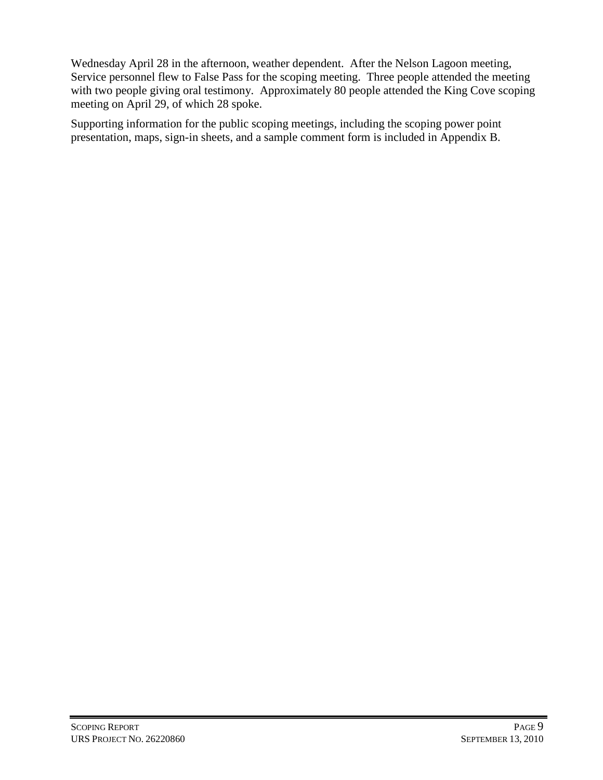Wednesday April 28 in the afternoon, weather dependent. After the Nelson Lagoon meeting, Service personnel flew to False Pass for the scoping meeting. Three people attended the meeting with two people giving oral testimony. Approximately 80 people attended the King Cove scoping meeting on April 29, of which 28 spoke.

Supporting information for the public scoping meetings, including the scoping power point presentation, maps, sign-in sheets, and a sample comment form is included in Appendix B.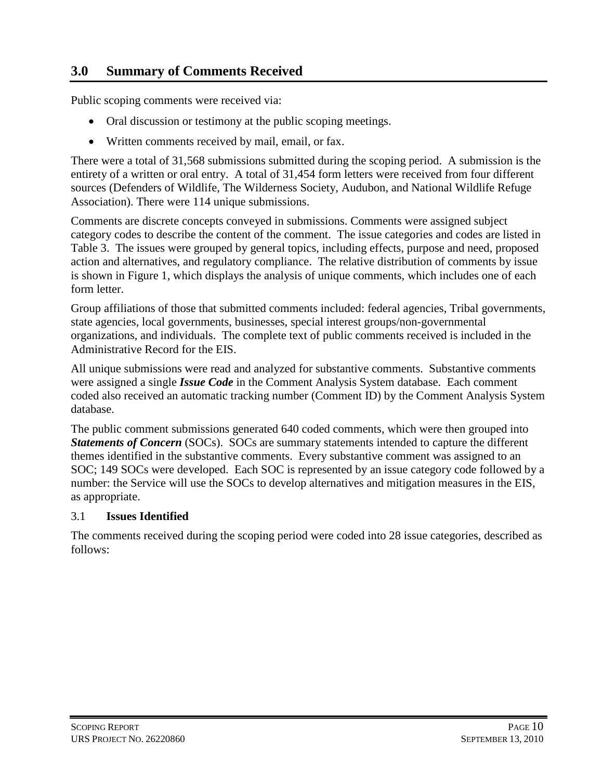<span id="page-13-0"></span>Public scoping comments were received via:

- Oral discussion or testimony at the public scoping meetings.
- Written comments received by mail, email, or fax.

There were a total of 31,568 submissions submitted during the scoping period. A submission is the entirety of a written or oral entry. A total of 31,454 form letters were received from four different sources (Defenders of Wildlife, The Wilderness Society, Audubon, and National Wildlife Refuge Association). There were 114 unique submissions.

Comments are discrete concepts conveyed in submissions. Comments were assigned subject category codes to describe the content of the comment. The issue categories and codes are listed in Table 3. The issues were grouped by general topics, including effects, purpose and need, proposed action and alternatives, and regulatory compliance. The relative distribution of comments by issue is shown in Figure 1, which displays the analysis of unique comments, which includes one of each form letter.

Group affiliations of those that submitted comments included: federal agencies, Tribal governments, state agencies, local governments, businesses, special interest groups/non-governmental organizations, and individuals. The complete text of public comments received is included in the Administrative Record for the EIS.

All unique submissions were read and analyzed for substantive comments. Substantive comments were assigned a single *Issue Code* in the Comment Analysis System database. Each comment coded also received an automatic tracking number (Comment ID) by the Comment Analysis System database.

The public comment submissions generated 640 coded comments, which were then grouped into **Statements of Concern** (SOCs). SOCs are summary statements intended to capture the different themes identified in the substantive comments. Every substantive comment was assigned to an SOC; 149 SOCs were developed. Each SOC is represented by an issue category code followed by a number: the Service will use the SOCs to develop alternatives and mitigation measures in the EIS, as appropriate.

#### <span id="page-13-1"></span>3.1 **Issues Identified**

The comments received during the scoping period were coded into 28 issue categories, described as follows: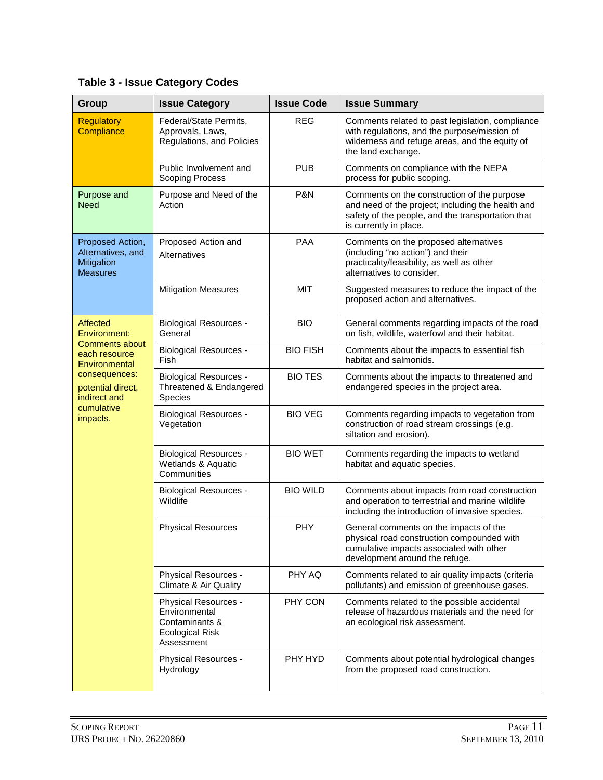**Table 3 - Issue Category Codes**

| Group                                                                  | <b>Issue Category</b>                                                                                  | <b>Issue Code</b> | <b>Issue Summary</b>                                                                                                                                                            |
|------------------------------------------------------------------------|--------------------------------------------------------------------------------------------------------|-------------------|---------------------------------------------------------------------------------------------------------------------------------------------------------------------------------|
| <b>Regulatory</b><br>Compliance                                        | Federal/State Permits,<br>Approvals, Laws,<br>Regulations, and Policies                                | <b>REG</b>        | Comments related to past legislation, compliance<br>with regulations, and the purpose/mission of<br>wilderness and refuge areas, and the equity of<br>the land exchange.        |
|                                                                        | Public Involvement and<br><b>Scoping Process</b>                                                       | <b>PUB</b>        | Comments on compliance with the NEPA<br>process for public scoping.                                                                                                             |
| Purpose and<br>Need                                                    | Purpose and Need of the<br>Action                                                                      | P&N               | Comments on the construction of the purpose<br>and need of the project; including the health and<br>safety of the people, and the transportation that<br>is currently in place. |
| Proposed Action,<br>Alternatives, and<br>Mitigation<br><b>Measures</b> | Proposed Action and<br>Alternatives                                                                    | <b>PAA</b>        | Comments on the proposed alternatives<br>(including "no action") and their<br>practicality/feasibility, as well as other<br>alternatives to consider.                           |
|                                                                        | <b>Mitigation Measures</b>                                                                             | <b>MIT</b>        | Suggested measures to reduce the impact of the<br>proposed action and alternatives.                                                                                             |
| <b>Affected</b><br>Environment:                                        | <b>Biological Resources -</b><br>General                                                               | <b>BIO</b>        | General comments regarding impacts of the road<br>on fish, wildlife, waterfowl and their habitat.                                                                               |
| <b>Comments about</b><br>each resource<br>Environmental                | <b>Biological Resources -</b><br>Fish                                                                  | <b>BIO FISH</b>   | Comments about the impacts to essential fish<br>habitat and salmonids.                                                                                                          |
| consequences:<br>potential direct,<br>indirect and                     | <b>Biological Resources -</b><br>Threatened & Endangered<br>Species                                    | <b>BIO TES</b>    | Comments about the impacts to threatened and<br>endangered species in the project area.                                                                                         |
| cumulative<br>impacts.                                                 | <b>Biological Resources -</b><br>Vegetation                                                            | <b>BIO VEG</b>    | Comments regarding impacts to vegetation from<br>construction of road stream crossings (e.g.<br>siltation and erosion).                                                         |
|                                                                        | <b>Biological Resources -</b><br>Wetlands & Aquatic<br>Communities                                     | <b>BIO WET</b>    | Comments regarding the impacts to wetland<br>habitat and aquatic species.                                                                                                       |
|                                                                        | <b>Biological Resources -</b><br>Wildlife                                                              | <b>BIO WILD</b>   | Comments about impacts from road construction<br>and operation to terrestrial and marine wildlife<br>including the introduction of invasive species.                            |
|                                                                        | <b>Physical Resources</b>                                                                              | PHY               | General comments on the impacts of the<br>physical road construction compounded with<br>cumulative impacts associated with other<br>development around the refuge.              |
|                                                                        | <b>Physical Resources -</b><br>Climate & Air Quality                                                   | PHY AQ            | Comments related to air quality impacts (criteria<br>pollutants) and emission of greenhouse gases.                                                                              |
|                                                                        | <b>Physical Resources -</b><br>Environmental<br>Contaminants &<br><b>Ecological Risk</b><br>Assessment | PHY CON           | Comments related to the possible accidental<br>release of hazardous materials and the need for<br>an ecological risk assessment.                                                |
|                                                                        | Physical Resources -<br>Hydrology                                                                      | PHY HYD           | Comments about potential hydrological changes<br>from the proposed road construction.                                                                                           |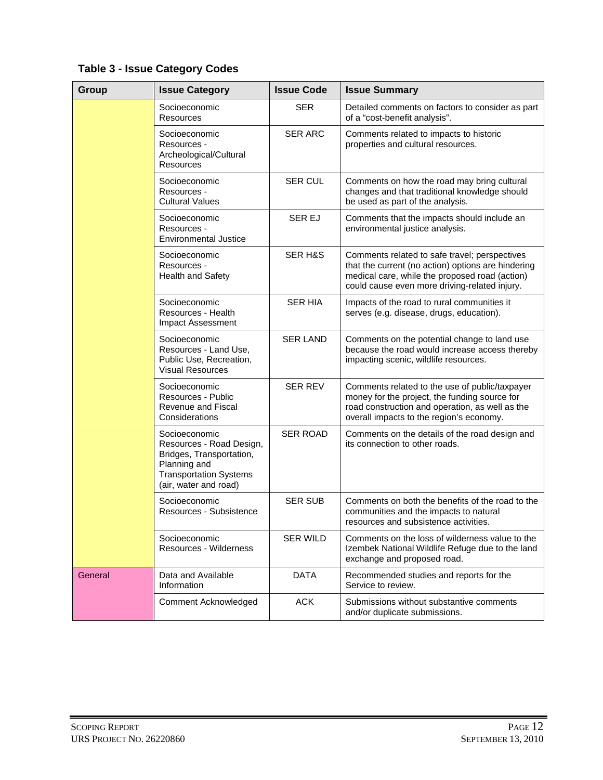## **Table 3 - Issue Category Codes**

| Group   | <b>Issue Category</b>                                                                                                                           | <b>Issue Code</b>  | <b>Issue Summary</b>                                                                                                                                                                                   |
|---------|-------------------------------------------------------------------------------------------------------------------------------------------------|--------------------|--------------------------------------------------------------------------------------------------------------------------------------------------------------------------------------------------------|
|         | Socioeconomic<br>Resources                                                                                                                      | <b>SER</b>         | Detailed comments on factors to consider as part<br>of a "cost-benefit analysis".                                                                                                                      |
|         | Socioeconomic<br>Resources -<br>Archeological/Cultural<br><b>Resources</b>                                                                      | <b>SER ARC</b>     | Comments related to impacts to historic<br>properties and cultural resources.                                                                                                                          |
|         | Socioeconomic<br>Resources -<br><b>Cultural Values</b>                                                                                          | <b>SER CUL</b>     | Comments on how the road may bring cultural<br>changes and that traditional knowledge should<br>be used as part of the analysis.                                                                       |
|         | Socioeconomic<br>Resources -<br><b>Environmental Justice</b>                                                                                    | <b>SER EJ</b>      | Comments that the impacts should include an<br>environmental justice analysis.                                                                                                                         |
|         | Socioeconomic<br>Resources -<br><b>Health and Safety</b>                                                                                        | <b>SER H&amp;S</b> | Comments related to safe travel; perspectives<br>that the current (no action) options are hindering<br>medical care, while the proposed road (action)<br>could cause even more driving-related injury. |
|         | Socioeconomic<br>Resources - Health<br>Impact Assessment                                                                                        | <b>SER HIA</b>     | Impacts of the road to rural communities it<br>serves (e.g. disease, drugs, education).                                                                                                                |
|         | Socioeconomic<br>Resources - Land Use,<br>Public Use, Recreation,<br><b>Visual Resources</b>                                                    | <b>SER LAND</b>    | Comments on the potential change to land use<br>because the road would increase access thereby<br>impacting scenic, wildlife resources.                                                                |
|         | Socioeconomic<br>Resources - Public<br>Revenue and Fiscal<br>Considerations                                                                     | <b>SER REV</b>     | Comments related to the use of public/taxpayer<br>money for the project, the funding source for<br>road construction and operation, as well as the<br>overall impacts to the region's economy.         |
|         | Socioeconomic<br>Resources - Road Design,<br>Bridges, Transportation,<br>Planning and<br><b>Transportation Systems</b><br>(air, water and road) | <b>SER ROAD</b>    | Comments on the details of the road design and<br>its connection to other roads.                                                                                                                       |
|         | Socioeconomic<br>Resources - Subsistence                                                                                                        | <b>SER SUB</b>     | Comments on both the benefits of the road to the<br>communities and the impacts to natural<br>resources and subsistence activities.                                                                    |
|         | Socioeconomic<br><b>Resources - Wilderness</b>                                                                                                  | <b>SER WILD</b>    | Comments on the loss of wilderness value to the<br>Izembek National Wildlife Refuge due to the land<br>exchange and proposed road.                                                                     |
| General | Data and Available<br>Information                                                                                                               | <b>DATA</b>        | Recommended studies and reports for the<br>Service to review.                                                                                                                                          |
|         | Comment Acknowledged                                                                                                                            | <b>ACK</b>         | Submissions without substantive comments<br>and/or duplicate submissions.                                                                                                                              |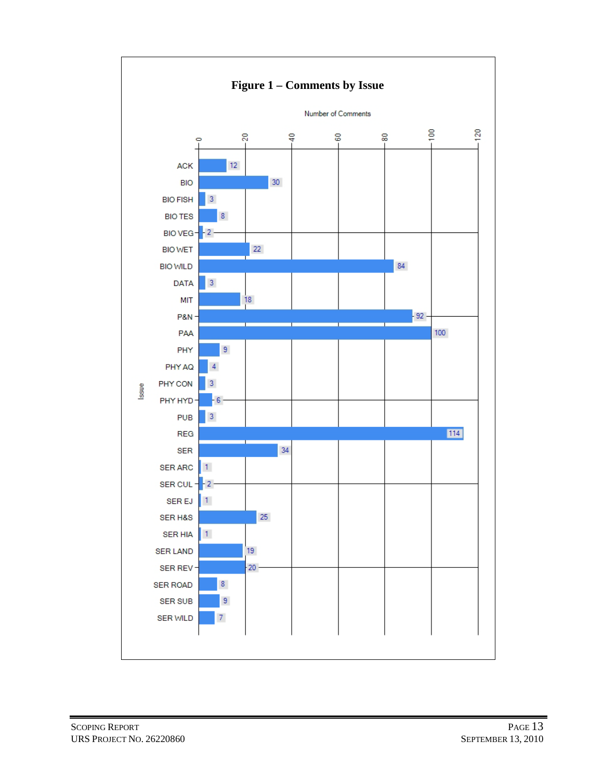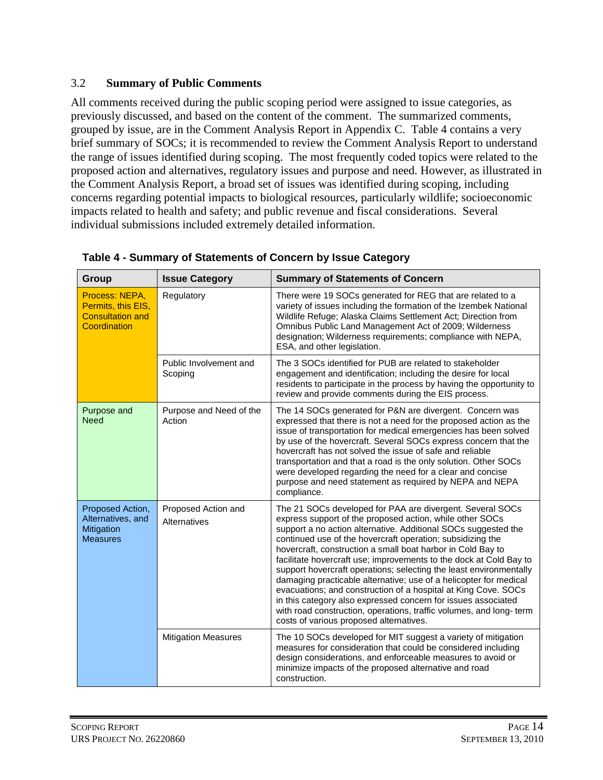#### <span id="page-17-0"></span>3.2 **Summary of Public Comments**

All comments received during the public scoping period were assigned to issue categories, as previously discussed, and based on the content of the comment. The summarized comments, grouped by issue, are in the Comment Analysis Report in Appendix C. Table 4 contains a very brief summary of SOCs; it is recommended to review the Comment Analysis Report to understand the range of issues identified during scoping. The most frequently coded topics were related to the proposed action and alternatives, regulatory issues and purpose and need. However, as illustrated in the Comment Analysis Report, a broad set of issues was identified during scoping, including concerns regarding potential impacts to biological resources, particularly wildlife; socioeconomic impacts related to health and safety; and public revenue and fiscal considerations. Several individual submissions included extremely detailed information.

| Group                                                                           | <b>Issue Category</b>               | <b>Summary of Statements of Concern</b>                                                                                                                                                                                                                                                                                                                                                                                                                                                                                                                                                                                                                                                                                                                                                    |
|---------------------------------------------------------------------------------|-------------------------------------|--------------------------------------------------------------------------------------------------------------------------------------------------------------------------------------------------------------------------------------------------------------------------------------------------------------------------------------------------------------------------------------------------------------------------------------------------------------------------------------------------------------------------------------------------------------------------------------------------------------------------------------------------------------------------------------------------------------------------------------------------------------------------------------------|
| Process: NEPA,<br>Permits, this EIS,<br><b>Consultation and</b><br>Coordination | Regulatory                          | There were 19 SOCs generated for REG that are related to a<br>variety of issues including the formation of the Izembek National<br>Wildlife Refuge; Alaska Claims Settlement Act; Direction from<br>Omnibus Public Land Management Act of 2009; Wilderness<br>designation; Wilderness requirements; compliance with NEPA,<br>ESA, and other legislation.                                                                                                                                                                                                                                                                                                                                                                                                                                   |
|                                                                                 | Public Involvement and<br>Scoping   | The 3 SOCs identified for PUB are related to stakeholder<br>engagement and identification; including the desire for local<br>residents to participate in the process by having the opportunity to<br>review and provide comments during the EIS process.                                                                                                                                                                                                                                                                                                                                                                                                                                                                                                                                   |
| Purpose and<br><b>Need</b>                                                      | Purpose and Need of the<br>Action   | The 14 SOCs generated for P&N are divergent. Concern was<br>expressed that there is not a need for the proposed action as the<br>issue of transportation for medical emergencies has been solved<br>by use of the hovercraft. Several SOCs express concern that the<br>hovercraft has not solved the issue of safe and reliable<br>transportation and that a road is the only solution. Other SOCs<br>were developed regarding the need for a clear and concise<br>purpose and need statement as required by NEPA and NEPA<br>compliance.                                                                                                                                                                                                                                                  |
| Proposed Action,<br>Alternatives, and<br>Mitigation<br><b>Measures</b>          | Proposed Action and<br>Alternatives | The 21 SOCs developed for PAA are divergent. Several SOCs<br>express support of the proposed action, while other SOCs<br>support a no action alternative. Additional SOCs suggested the<br>continued use of the hovercraft operation; subsidizing the<br>hovercraft, construction a small boat harbor in Cold Bay to<br>facilitate hovercraft use; improvements to the dock at Cold Bay to<br>support hovercraft operations; selecting the least environmentally<br>damaging practicable alternative; use of a helicopter for medical<br>evacuations; and construction of a hospital at King Cove. SOCs<br>in this category also expressed concern for issues associated<br>with road construction, operations, traffic volumes, and long- term<br>costs of various proposed alternatives. |
|                                                                                 | <b>Mitigation Measures</b>          | The 10 SOCs developed for MIT suggest a variety of mitigation<br>measures for consideration that could be considered including<br>design considerations, and enforceable measures to avoid or<br>minimize impacts of the proposed alternative and road<br>construction.                                                                                                                                                                                                                                                                                                                                                                                                                                                                                                                    |

**Table 4 - Summary of Statements of Concern by Issue Category**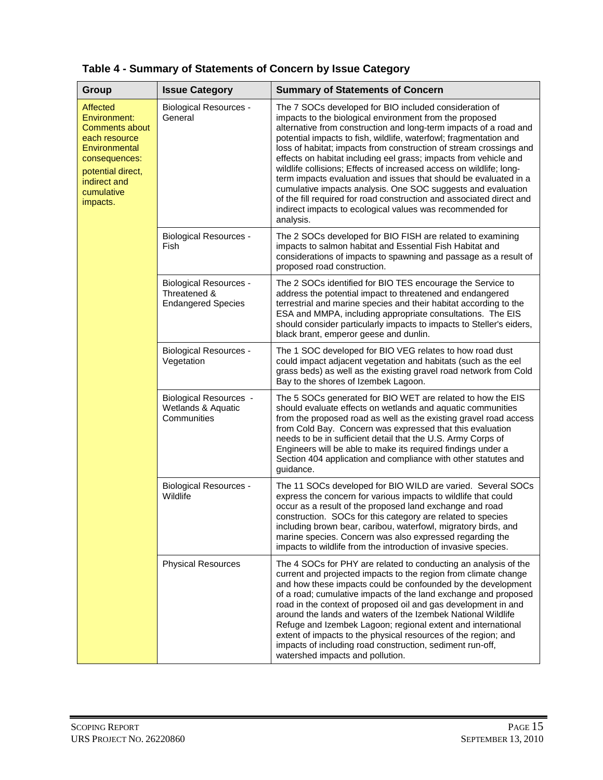| Group                                                                                                                                                               | <b>Issue Category</b>                                                      | <b>Summary of Statements of Concern</b>                                                                                                                                                                                                                                                                                                                                                                                                                                                                                                                                                                                                                                                                                                                            |
|---------------------------------------------------------------------------------------------------------------------------------------------------------------------|----------------------------------------------------------------------------|--------------------------------------------------------------------------------------------------------------------------------------------------------------------------------------------------------------------------------------------------------------------------------------------------------------------------------------------------------------------------------------------------------------------------------------------------------------------------------------------------------------------------------------------------------------------------------------------------------------------------------------------------------------------------------------------------------------------------------------------------------------------|
| Affected<br>Environment:<br><b>Comments about</b><br>each resource<br>Environmental<br>consequences:<br>potential direct,<br>indirect and<br>cumulative<br>impacts. | <b>Biological Resources -</b><br>General                                   | The 7 SOCs developed for BIO included consideration of<br>impacts to the biological environment from the proposed<br>alternative from construction and long-term impacts of a road and<br>potential impacts to fish, wildlife, waterfowl; fragmentation and<br>loss of habitat; impacts from construction of stream crossings and<br>effects on habitat including eel grass; impacts from vehicle and<br>wildlife collisions; Effects of increased access on wildlife; long-<br>term impacts evaluation and issues that should be evaluated in a<br>cumulative impacts analysis. One SOC suggests and evaluation<br>of the fill required for road construction and associated direct and<br>indirect impacts to ecological values was recommended for<br>analysis. |
|                                                                                                                                                                     | <b>Biological Resources -</b><br>Fish                                      | The 2 SOCs developed for BIO FISH are related to examining<br>impacts to salmon habitat and Essential Fish Habitat and<br>considerations of impacts to spawning and passage as a result of<br>proposed road construction.                                                                                                                                                                                                                                                                                                                                                                                                                                                                                                                                          |
|                                                                                                                                                                     | <b>Biological Resources -</b><br>Threatened &<br><b>Endangered Species</b> | The 2 SOCs identified for BIO TES encourage the Service to<br>address the potential impact to threatened and endangered<br>terrestrial and marine species and their habitat according to the<br>ESA and MMPA, including appropriate consultations. The EIS<br>should consider particularly impacts to impacts to Steller's eiders,<br>black brant, emperor geese and dunlin.                                                                                                                                                                                                                                                                                                                                                                                       |
|                                                                                                                                                                     | <b>Biological Resources -</b><br>Vegetation                                | The 1 SOC developed for BIO VEG relates to how road dust<br>could impact adjacent vegetation and habitats (such as the eel<br>grass beds) as well as the existing gravel road network from Cold<br>Bay to the shores of Izembek Lagoon.                                                                                                                                                                                                                                                                                                                                                                                                                                                                                                                            |
|                                                                                                                                                                     | <b>Biological Resources -</b><br>Wetlands & Aquatic<br>Communities         | The 5 SOCs generated for BIO WET are related to how the EIS<br>should evaluate effects on wetlands and aquatic communities<br>from the proposed road as well as the existing gravel road access<br>from Cold Bay. Concern was expressed that this evaluation<br>needs to be in sufficient detail that the U.S. Army Corps of<br>Engineers will be able to make its required findings under a<br>Section 404 application and compliance with other statutes and<br>guidance.                                                                                                                                                                                                                                                                                        |
|                                                                                                                                                                     | <b>Biological Resources -</b><br>Wildlife                                  | The 11 SOCs developed for BIO WILD are varied. Several SOCs<br>express the concern for various impacts to wildlife that could<br>occur as a result of the proposed land exchange and road<br>construction. SOCs for this category are related to species<br>including brown bear, caribou, waterfowl, migratory birds, and<br>marine species. Concern was also expressed regarding the<br>impacts to wildlife from the introduction of invasive species.                                                                                                                                                                                                                                                                                                           |
|                                                                                                                                                                     | <b>Physical Resources</b>                                                  | The 4 SOCs for PHY are related to conducting an analysis of the<br>current and projected impacts to the region from climate change<br>and how these impacts could be confounded by the development<br>of a road; cumulative impacts of the land exchange and proposed<br>road in the context of proposed oil and gas development in and<br>around the lands and waters of the Izembek National Wildlife<br>Refuge and Izembek Lagoon; regional extent and international<br>extent of impacts to the physical resources of the region; and<br>impacts of including road construction, sediment run-off,<br>watershed impacts and pollution.                                                                                                                         |

## **Table 4 - Summary of Statements of Concern by Issue Category**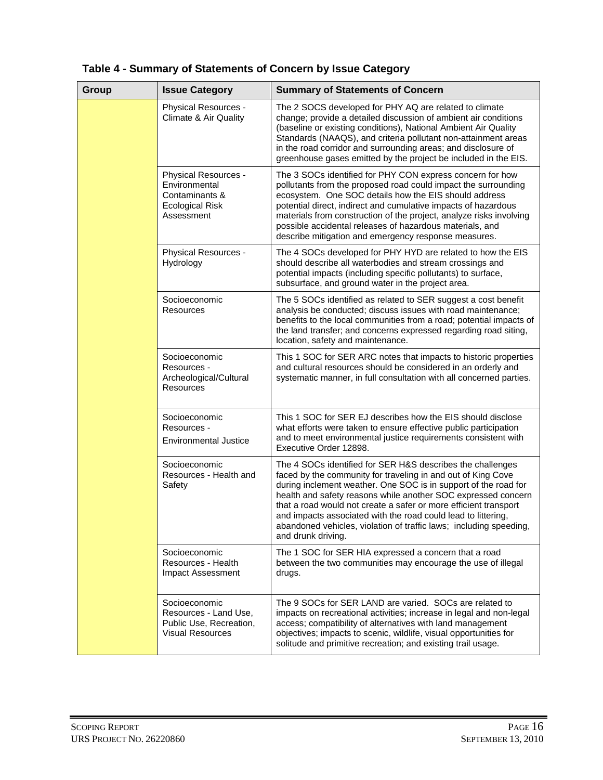| Group | <b>Issue Category</b>                                                                           | <b>Summary of Statements of Concern</b>                                                                                                                                                                                                                                                                                                                                                                                                                                                         |
|-------|-------------------------------------------------------------------------------------------------|-------------------------------------------------------------------------------------------------------------------------------------------------------------------------------------------------------------------------------------------------------------------------------------------------------------------------------------------------------------------------------------------------------------------------------------------------------------------------------------------------|
|       | Physical Resources -<br>Climate & Air Quality                                                   | The 2 SOCS developed for PHY AQ are related to climate<br>change; provide a detailed discussion of ambient air conditions<br>(baseline or existing conditions), National Ambient Air Quality<br>Standards (NAAQS), and criteria pollutant non-attainment areas<br>in the road corridor and surrounding areas; and disclosure of<br>greenhouse gases emitted by the project be included in the EIS.                                                                                              |
|       | Physical Resources -<br>Environmental<br>Contaminants &<br><b>Ecological Risk</b><br>Assessment | The 3 SOCs identified for PHY CON express concern for how<br>pollutants from the proposed road could impact the surrounding<br>ecosystem. One SOC details how the EIS should address<br>potential direct, indirect and cumulative impacts of hazardous<br>materials from construction of the project, analyze risks involving<br>possible accidental releases of hazardous materials, and<br>describe mitigation and emergency response measures.                                               |
|       | Physical Resources -<br>Hydrology                                                               | The 4 SOCs developed for PHY HYD are related to how the EIS<br>should describe all waterbodies and stream crossings and<br>potential impacts (including specific pollutants) to surface,<br>subsurface, and ground water in the project area.                                                                                                                                                                                                                                                   |
|       | Socioeconomic<br><b>Resources</b>                                                               | The 5 SOCs identified as related to SER suggest a cost benefit<br>analysis be conducted; discuss issues with road maintenance;<br>benefits to the local communities from a road; potential impacts of<br>the land transfer; and concerns expressed regarding road siting,<br>location, safety and maintenance.                                                                                                                                                                                  |
|       | Socioeconomic<br>Resources -<br>Archeological/Cultural<br><b>Resources</b>                      | This 1 SOC for SER ARC notes that impacts to historic properties<br>and cultural resources should be considered in an orderly and<br>systematic manner, in full consultation with all concerned parties.                                                                                                                                                                                                                                                                                        |
|       | Socioeconomic<br>Resources -<br><b>Environmental Justice</b>                                    | This 1 SOC for SER EJ describes how the EIS should disclose<br>what efforts were taken to ensure effective public participation<br>and to meet environmental justice requirements consistent with<br>Executive Order 12898.                                                                                                                                                                                                                                                                     |
|       | Socioeconomic<br>Resources - Health and<br>Safety                                               | The 4 SOCs identified for SER H&S describes the challenges<br>faced by the community for traveling in and out of King Cove<br>during inclement weather. One SOC is in support of the road for<br>health and safety reasons while another SOC expressed concern<br>that a road would not create a safer or more efficient transport<br>and impacts associated with the road could lead to littering,<br>abandoned vehicles, violation of traffic laws; including speeding,<br>and drunk driving. |
|       | Socioeconomic<br>Resources - Health<br>Impact Assessment                                        | The 1 SOC for SER HIA expressed a concern that a road<br>between the two communities may encourage the use of illegal<br>drugs.                                                                                                                                                                                                                                                                                                                                                                 |
|       | Socioeconomic<br>Resources - Land Use,<br>Public Use, Recreation,<br><b>Visual Resources</b>    | The 9 SOCs for SER LAND are varied. SOCs are related to<br>impacts on recreational activities; increase in legal and non-legal<br>access; compatibility of alternatives with land management<br>objectives; impacts to scenic, wildlife, visual opportunities for<br>solitude and primitive recreation; and existing trail usage.                                                                                                                                                               |

## **Table 4 - Summary of Statements of Concern by Issue Category**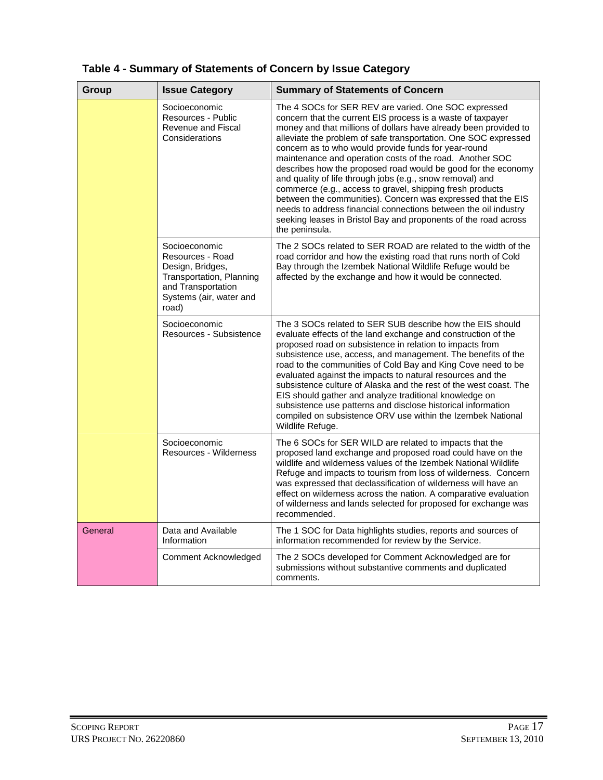| Group   | <b>Issue Category</b>                                                                                                                       | <b>Summary of Statements of Concern</b>                                                                                                                                                                                                                                                                                                                                                                                                                                                                                                                                                                                                                                                                                                                                                           |
|---------|---------------------------------------------------------------------------------------------------------------------------------------------|---------------------------------------------------------------------------------------------------------------------------------------------------------------------------------------------------------------------------------------------------------------------------------------------------------------------------------------------------------------------------------------------------------------------------------------------------------------------------------------------------------------------------------------------------------------------------------------------------------------------------------------------------------------------------------------------------------------------------------------------------------------------------------------------------|
|         | Socioeconomic<br>Resources - Public<br>Revenue and Fiscal<br>Considerations                                                                 | The 4 SOCs for SER REV are varied. One SOC expressed<br>concern that the current EIS process is a waste of taxpayer<br>money and that millions of dollars have already been provided to<br>alleviate the problem of safe transportation. One SOC expressed<br>concern as to who would provide funds for year-round<br>maintenance and operation costs of the road. Another SOC<br>describes how the proposed road would be good for the economy<br>and quality of life through jobs (e.g., snow removal) and<br>commerce (e.g., access to gravel, shipping fresh products<br>between the communities). Concern was expressed that the EIS<br>needs to address financial connections between the oil industry<br>seeking leases in Bristol Bay and proponents of the road across<br>the peninsula. |
|         | Socioeconomic<br>Resources - Road<br>Design, Bridges,<br>Transportation, Planning<br>and Transportation<br>Systems (air, water and<br>road) | The 2 SOCs related to SER ROAD are related to the width of the<br>road corridor and how the existing road that runs north of Cold<br>Bay through the Izembek National Wildlife Refuge would be<br>affected by the exchange and how it would be connected.                                                                                                                                                                                                                                                                                                                                                                                                                                                                                                                                         |
|         | Socioeconomic<br>Resources - Subsistence                                                                                                    | The 3 SOCs related to SER SUB describe how the EIS should<br>evaluate effects of the land exchange and construction of the<br>proposed road on subsistence in relation to impacts from<br>subsistence use, access, and management. The benefits of the<br>road to the communities of Cold Bay and King Cove need to be<br>evaluated against the impacts to natural resources and the<br>subsistence culture of Alaska and the rest of the west coast. The<br>EIS should gather and analyze traditional knowledge on<br>subsistence use patterns and disclose historical information<br>compiled on subsistence ORV use within the Izembek National<br>Wildlife Refuge.                                                                                                                            |
|         | Socioeconomic<br>Resources - Wilderness                                                                                                     | The 6 SOCs for SER WILD are related to impacts that the<br>proposed land exchange and proposed road could have on the<br>wildlife and wilderness values of the Izembek National Wildlife<br>Refuge and impacts to tourism from loss of wilderness. Concern<br>was expressed that declassification of wilderness will have an<br>effect on wilderness across the nation. A comparative evaluation<br>of wilderness and lands selected for proposed for exchange was<br>recommended.                                                                                                                                                                                                                                                                                                                |
| General | Data and Available<br>Information                                                                                                           | The 1 SOC for Data highlights studies, reports and sources of<br>information recommended for review by the Service.                                                                                                                                                                                                                                                                                                                                                                                                                                                                                                                                                                                                                                                                               |
|         | Comment Acknowledged                                                                                                                        | The 2 SOCs developed for Comment Acknowledged are for<br>submissions without substantive comments and duplicated<br>comments.                                                                                                                                                                                                                                                                                                                                                                                                                                                                                                                                                                                                                                                                     |

**Table 4 - Summary of Statements of Concern by Issue Category**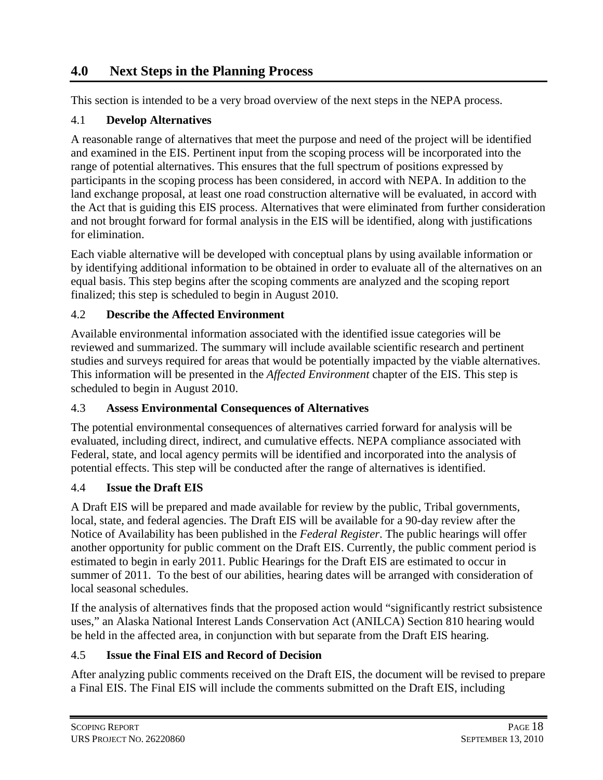## <span id="page-21-0"></span>**4.0 Next Steps in the Planning Process**

This section is intended to be a very broad overview of the next steps in the NEPA process.

#### <span id="page-21-1"></span>4.1 **Develop Alternatives**

A reasonable range of alternatives that meet the purpose and need of the project will be identified and examined in the EIS. Pertinent input from the scoping process will be incorporated into the range of potential alternatives. This ensures that the full spectrum of positions expressed by participants in the scoping process has been considered, in accord with NEPA. In addition to the land exchange proposal, at least one road construction alternative will be evaluated, in accord with the Act that is guiding this EIS process. Alternatives that were eliminated from further consideration and not brought forward for formal analysis in the EIS will be identified, along with justifications for elimination.

Each viable alternative will be developed with conceptual plans by using available information or by identifying additional information to be obtained in order to evaluate all of the alternatives on an equal basis. This step begins after the scoping comments are analyzed and the scoping report finalized; this step is scheduled to begin in August 2010.

#### <span id="page-21-2"></span>4.2 **Describe the Affected Environment**

Available environmental information associated with the identified issue categories will be reviewed and summarized. The summary will include available scientific research and pertinent studies and surveys required for areas that would be potentially impacted by the viable alternatives. This information will be presented in the *Affected Environment* chapter of the EIS. This step is scheduled to begin in August 2010.

#### <span id="page-21-3"></span>4.3 **Assess Environmental Consequences of Alternatives**

The potential environmental consequences of alternatives carried forward for analysis will be evaluated, including direct, indirect, and cumulative effects. NEPA compliance associated with Federal, state, and local agency permits will be identified and incorporated into the analysis of potential effects. This step will be conducted after the range of alternatives is identified.

#### <span id="page-21-4"></span>4.4 **Issue the Draft EIS**

A Draft EIS will be prepared and made available for review by the public, Tribal governments, local, state, and federal agencies. The Draft EIS will be available for a 90-day review after the Notice of Availability has been published in the *Federal Register*. The public hearings will offer another opportunity for public comment on the Draft EIS. Currently, the public comment period is estimated to begin in early 2011. Public Hearings for the Draft EIS are estimated to occur in summer of 2011. To the best of our abilities, hearing dates will be arranged with consideration of local seasonal schedules.

If the analysis of alternatives finds that the proposed action would "significantly restrict subsistence uses," an Alaska National Interest Lands Conservation Act (ANILCA) Section 810 hearing would be held in the affected area, in conjunction with but separate from the Draft EIS hearing.

#### <span id="page-21-5"></span>4.5 **Issue the Final EIS and Record of Decision**

After analyzing public comments received on the Draft EIS, the document will be revised to prepare a Final EIS. The Final EIS will include the comments submitted on the Draft EIS, including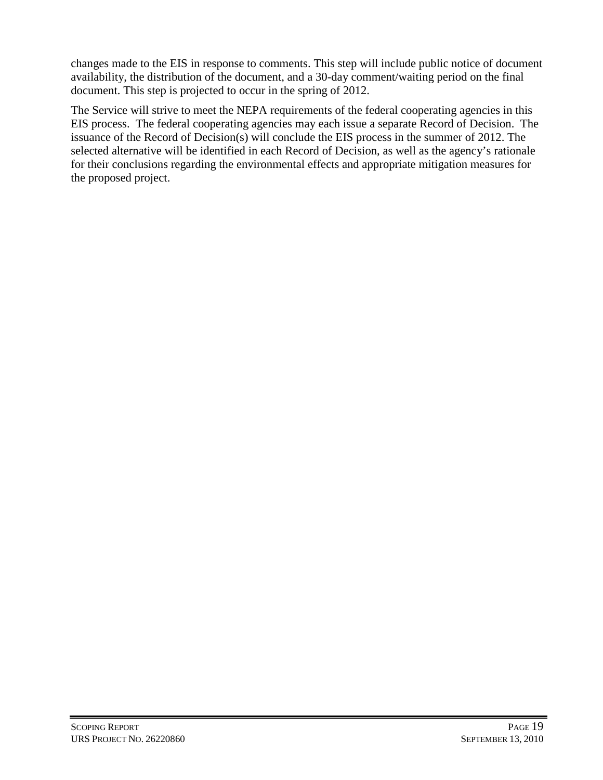changes made to the EIS in response to comments. This step will include public notice of document availability, the distribution of the document, and a 30-day comment/waiting period on the final document. This step is projected to occur in the spring of 2012.

The Service will strive to meet the NEPA requirements of the federal cooperating agencies in this EIS process. The federal cooperating agencies may each issue a separate Record of Decision. The issuance of the Record of Decision(s) will conclude the EIS process in the summer of 2012. The selected alternative will be identified in each Record of Decision, as well as the agency's rationale for their conclusions regarding the environmental effects and appropriate mitigation measures for the proposed project.